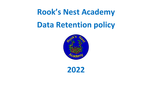## **Rook's Nest Academy Data Retention policy**



**2022**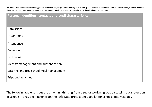We have introduced that data items aggregate into data item groups. Whilst thinking at data item group level allows us to have a sensible conversation, it should be noted that the data item group 'Personal identifiers, contacts and pupil characteristics' generally sits within all other data item groups:

| Personal identifiers, contacts and pupil characteristics |  |  |  |  |  |  |
|----------------------------------------------------------|--|--|--|--|--|--|
|                                                          |  |  |  |  |  |  |
| Admissions                                               |  |  |  |  |  |  |
| Attainment                                               |  |  |  |  |  |  |
| Attendance                                               |  |  |  |  |  |  |
| <b>Behaviour</b>                                         |  |  |  |  |  |  |
| <b>Exclusions</b>                                        |  |  |  |  |  |  |
| Identify management and authentication                   |  |  |  |  |  |  |
| Catering and free school meal management                 |  |  |  |  |  |  |
| Trips and activities                                     |  |  |  |  |  |  |

The following table sets out the emerging thinking from a sector working group discussing data retention in schools. It has been taken from the "DfE Data protection: a toolkit for schools Beta version".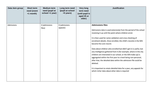| Data item group | <b>Short term</b><br>need (event<br>$+1$ month) | <b>Medium term</b><br>need (pupil at<br>school +1 year) | Long term need<br>(pupil at school<br>+5 years) | <b>Very long</b><br>term need<br>(until pupil is<br>aged 25 or<br>older) | <b>Justification</b>                                                                                                                                                                                                                                                                                                                                                                                                                                                                                                                                                                                                                                                                                                                                                                                     |
|-----------------|-------------------------------------------------|---------------------------------------------------------|-------------------------------------------------|--------------------------------------------------------------------------|----------------------------------------------------------------------------------------------------------------------------------------------------------------------------------------------------------------------------------------------------------------------------------------------------------------------------------------------------------------------------------------------------------------------------------------------------------------------------------------------------------------------------------------------------------------------------------------------------------------------------------------------------------------------------------------------------------------------------------------------------------------------------------------------------------|
| Admissions      |                                                 | X (admissions<br>files)                                 | X (admissions<br>appeals)                       |                                                                          | <b>Admissions files</b><br>Admissions data is used extensively from the period of the school<br>receiving it up until the point where children enrol.<br>It is then used for some validation and cross checking of<br>enrolment details. Once enrolled, the child's records in the MIS<br>become the core record.<br>Data about children who enrolled but didn't get in is useful, but<br>any intelligence gathered from it (for example, where in the city<br>children are interested in our school, or the SEN make up) is<br>aggregated within the first year to a level being non-personal,<br>after that, the detailed data within the admission file could be<br>deleted.<br>It is important to retain detailed data for a year, any appeals for<br>which richer data about other data is required |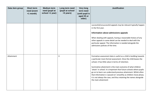| Data item group | <b>Short term</b><br>need (event<br>$+1$ month) | <b>Medium term</b><br>need (pupil at<br>school +1 year) | Long term need<br>(pupil at school<br>+5 years) | <b>Very long</b><br>term need<br>(until pupil is<br>aged 25 or<br>older) | <b>Justification</b>                                                                                                                                                                                                                                                                                                                                                                                                                                                                                                                                               |
|-----------------|-------------------------------------------------|---------------------------------------------------------|-------------------------------------------------|--------------------------------------------------------------------------|--------------------------------------------------------------------------------------------------------------------------------------------------------------------------------------------------------------------------------------------------------------------------------------------------------------------------------------------------------------------------------------------------------------------------------------------------------------------------------------------------------------------------------------------------------------------|
|                 |                                                 |                                                         |                                                 |                                                                          | successful/unsuccessful appeals may be relevant typically happen<br>in the first year.<br>Information about admissions appeals<br>When dealing with appeals, having a reasonable history of any<br>other appeals in some detail can be needed to deal with the<br>particular appeal. The information is needed alongside the<br>admissions policies of the time.                                                                                                                                                                                                   |
| Attainment      |                                                 |                                                         | $\pmb{\mathsf{X}}$                              |                                                                          | Formative assessment data is useful as a child is building towards<br>a particular more formal assessment. Once the child leaves the<br>school, it has little value in terms of retention.<br>Summative attainment is the main outcome of what children<br>'attain' in school. It is important that future schools where pupils<br>go on to learn can understand previous attainment. Whilst often<br>that information is 'passed on' smoothly as children move phase,<br>it is not always the case, and thus retaining the names alongside<br>the main attainment |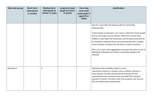| Data item group | <b>Short term</b><br>need (event<br>$+1$ month) | <b>Medium term</b><br>need (pupil at<br>school +1 year) | Long term need<br>(pupil at school<br>+5 years) | <b>Very long</b><br>term need<br>(until pupil is<br>aged 25 or<br>older) | <b>Justification</b>                                                                                                                                                                                                                                                                                                                                                                                                                                                                                                                                                                   |
|-----------------|-------------------------------------------------|---------------------------------------------------------|-------------------------------------------------|--------------------------------------------------------------------------|----------------------------------------------------------------------------------------------------------------------------------------------------------------------------------------------------------------------------------------------------------------------------------------------------------------------------------------------------------------------------------------------------------------------------------------------------------------------------------------------------------------------------------------------------------------------------------------|
|                 |                                                 |                                                         |                                                 |                                                                          | data for 1 year after the pupil has left the school feels<br>proportionate.<br>Trend analysis is important, 3 to 5 years is often the 'trend' people<br>look at, but longer may be relevant. Whilst this must be fully<br>flexible in reporting small sub groups, and the data would wish to<br>be retained at individual level, some personal data (for example,<br>name) could be removed from the data to reduce sensitivity.<br>After 3 to 5 years, then aggregated summaries that have no risk of<br>identifying individuals are all that are typically needed to be<br>retained. |
| Attendance      |                                                 | Χ                                                       |                                                 |                                                                          | Attendance data probably resides in some<br>'operational' systems in schools, such as cashless catering. In<br>these systems, the data should only be retained until the<br>associated business processes have concluded (for example,<br>payment of meals). The start of the next academic year once all<br>bills are settled feels proportionate.                                                                                                                                                                                                                                    |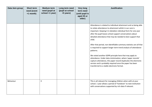| Data item group | <b>Short term</b><br>need (event<br>$+1$ month) | <b>Medium term</b><br>need (pupil at<br>school +1 year) | Long term need<br>(pupil at school<br>+5 years) | <b>Very long</b><br>term need<br>(until pupil is<br>aged 25 or<br>older) | <b>Justification</b>                                                                                                                                                                                                                                                                                                                                                                                                                                                                                                                                                                                                                                                                                                                                                                              |
|-----------------|-------------------------------------------------|---------------------------------------------------------|-------------------------------------------------|--------------------------------------------------------------------------|---------------------------------------------------------------------------------------------------------------------------------------------------------------------------------------------------------------------------------------------------------------------------------------------------------------------------------------------------------------------------------------------------------------------------------------------------------------------------------------------------------------------------------------------------------------------------------------------------------------------------------------------------------------------------------------------------------------------------------------------------------------------------------------------------|
|                 |                                                 |                                                         |                                                 |                                                                          | Attendance is related to individual attainment and so being able<br>to relate attendance to attainment whilst in our care is<br>important. Keeping it in detailed, individual form for one year<br>after the pupil leaves school support conversations about<br>detailed attendance that may be needed to best support that<br>child.<br>After that period, non-identifiable summary statistics are all that<br>is required to support longer term trend analysis of attendance<br>patterns.<br>We noted another GDPR principle here that may apply to<br>attendance. Under data minimisation, where 'paper records'<br>capture attendance, this paper record duplicates the electronic<br>version and is probably required once the paper has been<br>transferred to a stable electronic format. |
| Behaviour       |                                                 | X                                                       |                                                 |                                                                          | This is all relevant for managing children when with at your<br>school. 1 year allows a period of 'handover' to next institution<br>with conversations supported by rich data if relevant.                                                                                                                                                                                                                                                                                                                                                                                                                                                                                                                                                                                                        |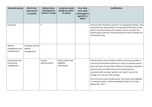| Data item group                                | <b>Short term</b><br>need (event<br>+1 month) | <b>Medium term</b><br>need (pupil at<br>school +1 year) | Long term need<br>(pupil at school<br>+5 years)    | <b>Very long</b><br>term need<br>(until pupil is<br>aged 25 or<br>older) | <b>Justification</b>                                                                                                                                                                                                                                                                                                                                                                                                                                                                                                                      |
|------------------------------------------------|-----------------------------------------------|---------------------------------------------------------|----------------------------------------------------|--------------------------------------------------------------------------|-------------------------------------------------------------------------------------------------------------------------------------------------------------------------------------------------------------------------------------------------------------------------------------------------------------------------------------------------------------------------------------------------------------------------------------------------------------------------------------------------------------------------------------------|
| Exclusions                                     |                                               | X                                                       |                                                    |                                                                          | Exclusion data should be 'passed on' to subsequent settings. That<br>school then has responsibility for retaining the full history of the<br>child. If a private setting or the school is unsure on where the<br>child has gone, then the school should ensure the LA already has<br>the exclusion data.                                                                                                                                                                                                                                  |
| Identity<br>management and<br>authentication   | X (images used for<br>identity<br>management) |                                                         |                                                    |                                                                          |                                                                                                                                                                                                                                                                                                                                                                                                                                                                                                                                           |
| Catering and free<br>school meal<br>management |                                               | X (meal<br>administration)                              | X (free school meal<br>eligibility<br>information) |                                                                          | A short historic record of what a child has had may be useful in<br>case of any food-related incidents at school, or parental queries<br>about the types of meals their children are choosing. Keeping for<br>up to one year also allows time to do accounting work<br>associated with catering. Typically 'one month' may not be<br>enough, but 'one year' feels enough.<br>Due to the way school funding works, free school meal eligibility<br>is a financial matter, and thus keeping this data for 6+1 feels<br>appropriate. This 7- |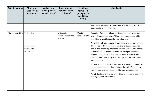| Data item group      | <b>Short term</b><br>need (event<br>+1 month) | <b>Medium term</b><br>need (pupil at<br>school +1 year) | Long term need<br>(pupil at school<br>+5 years)  | <b>Very long</b><br>term need<br>(until pupil is<br>aged 25 or<br>older) | <b>Justification</b>                                                                                                                                                                                                                                                                                                                                                                                                               |
|----------------------|-----------------------------------------------|---------------------------------------------------------|--------------------------------------------------|--------------------------------------------------------------------------|------------------------------------------------------------------------------------------------------------------------------------------------------------------------------------------------------------------------------------------------------------------------------------------------------------------------------------------------------------------------------------------------------------------------------------|
|                      |                                               |                                                         |                                                  |                                                                          | year record also needs to be portable with the pupil, as historic<br>dates can be used for funding.                                                                                                                                                                                                                                                                                                                                |
| Trips and activities | X (field file)                                |                                                         | X (financial<br>information related<br>to trips) | X (major<br>medical events)                                              | Financial information related to trips should be retained for 6<br>years + 1 for audit purposes. This would include enough child<br>identifiers to be able to confirm contributions.                                                                                                                                                                                                                                               |
|                      | X<br>(educational<br>visitors into<br>school) |                                                         |                                                  |                                                                          | A 'field file' is the information that is taken on a trip by a school.<br>This can be destroyed following the trip, once any medicines<br>administers on the trip have been entered onto the core system.<br>If there is a minor medical incident (for example, a medical<br>incident dealt with by staff in the way it would be dealt with<br>'within school') on the trip, then adding it into the core system<br>would be done. |
|                      |                                               |                                                         |                                                  |                                                                          | If there is a major incident (for example, a medical incident that<br>needed outside agency) then retaining the entire file until time<br>that the youngest child becomes 25 would be appropriate.                                                                                                                                                                                                                                 |
|                      |                                               |                                                         |                                                  |                                                                          | Permission to go on the trip slips will contain personal data, and<br>destroying them after the trip                                                                                                                                                                                                                                                                                                                               |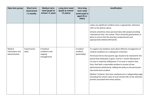| Data item group                              | <b>Short term</b><br>need (event<br>$+1$ month) | <b>Medium term</b><br>need (pupil at<br>school +1 year) | Long term need<br>(pupil at school<br>+5 years) | <b>Very long</b><br>term need<br>(until pupil is<br>aged 25 or<br>older) | <b>Justification</b>                                                                                                                                                                                                                                                                                                                                                                                                                                                                                                                                                                                                                                                       |
|----------------------------------------------|-------------------------------------------------|---------------------------------------------------------|-------------------------------------------------|--------------------------------------------------------------------------|----------------------------------------------------------------------------------------------------------------------------------------------------------------------------------------------------------------------------------------------------------------------------------------------------------------------------------------------------------------------------------------------------------------------------------------------------------------------------------------------------------------------------------------------------------------------------------------------------------------------------------------------------------------------------|
|                                              |                                                 |                                                         |                                                 |                                                                          | unless any significant incident arises is appropriate, otherwise<br>refer to the policies above.<br>Schools sometimes share personal data with people providing<br>'educational visits' into school. There should be good policies in<br>place to ensure that the sharing is proportionate and<br>appropriately deleted afterwards.                                                                                                                                                                                                                                                                                                                                        |
| Medical<br>information and<br>administration | X (permission<br>slips)                         | X (medical<br>conditions and<br>ongoing<br>management)  |                                                 | X medical<br>incidents<br>(potentially)                                  | To support any handover work about effective management of<br>medical conditions to a subsequent institution.<br>Permission forms that parents sign should to be retained for the<br>period that medication is given, and for 1 month afterwards if<br>no issue is raised by child/parent. If no issue is raised in that<br>time, that feels a reasonable window to assume all was<br>administered satisfactorily. Adding this policy to the permission<br>slip would seem prudent.<br>Medical 'incidents' that have a behavioural or safeguarding angle<br>(including the school's duty of care) should refer to the retention<br>periods associated with those policies. |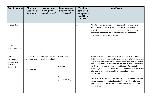| Data item group                                                         | <b>Short term</b><br>need (event<br>+1 month)            | <b>Medium term</b><br>need (pupil at<br>school +1 year) | Long term need<br>(pupil at school<br>+5 years)      | <b>Very long</b><br>term need<br>(until pupil is<br>aged 25 or<br>older) | <b>Justification</b>                                                                                                                                                                                                                                                                                                                                                                                                                                                                                                                                                                                                                                                                                 |
|-------------------------------------------------------------------------|----------------------------------------------------------|---------------------------------------------------------|------------------------------------------------------|--------------------------------------------------------------------------|------------------------------------------------------------------------------------------------------------------------------------------------------------------------------------------------------------------------------------------------------------------------------------------------------------------------------------------------------------------------------------------------------------------------------------------------------------------------------------------------------------------------------------------------------------------------------------------------------------------------------------------------------------------------------------------------------|
| Safeguarding                                                            |                                                          |                                                         |                                                      | X                                                                        | All data on the safeguarding file potentially forms part of an<br>important story that may be needed retrospectively for many<br>years. The elements of a pupil file (name, address) that are<br>needed to identify children with certainty are needed to be<br>retained along with those records.                                                                                                                                                                                                                                                                                                                                                                                                   |
| Special<br>educational needs                                            |                                                          |                                                         |                                                      |                                                                          |                                                                                                                                                                                                                                                                                                                                                                                                                                                                                                                                                                                                                                                                                                      |
| Personal<br>identifiers,<br>contacts and<br>personal<br>characteristics | X (images used in<br>identity systems)<br>X (biometrics) | X (images used in<br>displays in school)                | X (postcodes)<br>X (names)<br>Χ<br>(characteristics) |                                                                          | Images are used for different reasons, and the reason should<br>dictate the retention period. Images used purely for identification<br>can be deleted when the child leaves the setting. Images used in<br>displays etc. can be retained for educational purposes whilst the<br>child is at the school. Other usages of images (for example,<br>marketing) should be retained for and used in line with the active<br>informed consent captured at the outset of using the<br>photograph.<br>Biometric data (typically fingerprints used in things like catering)<br>should be used and retained as set out in the active informed<br>consent gained at the outset, but typically this should not be |
|                                                                         |                                                          |                                                         |                                                      |                                                                          | retained long                                                                                                                                                                                                                                                                                                                                                                                                                                                                                                                                                                                                                                                                                        |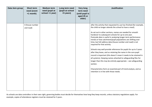| Data item group | <b>Short term</b><br>need (event<br>$+1$ month) | <b>Medium term</b><br>need (pupil at<br>school +1 year) | Long term need<br>(pupil at school<br>+5 years) | <b>Very long</b><br>term need<br>(until pupil is<br>aged 25 or<br>older) | <b>Justification</b>                                                                                                                                                                                                                                                                                                                                                                                                                                                                                                                                                                                                                                                                                                                                                                                                                                                                                                                                    |
|-----------------|-------------------------------------------------|---------------------------------------------------------|-------------------------------------------------|--------------------------------------------------------------------------|---------------------------------------------------------------------------------------------------------------------------------------------------------------------------------------------------------------------------------------------------------------------------------------------------------------------------------------------------------------------------------------------------------------------------------------------------------------------------------------------------------------------------------------------------------------------------------------------------------------------------------------------------------------------------------------------------------------------------------------------------------------------------------------------------------------------------------------------------------------------------------------------------------------------------------------------------------|
|                 | X (house number<br>and road)                    |                                                         |                                                 |                                                                          | after the activity that requested its use has finished (for example,<br>the child no longer attends the school to have a meal).<br>As set out in other sections, names are needed for smooth<br>handover to subsequent schools for up to one year.<br>Postcode data is useful in analysing longer-term performance<br>trends or how catchment/pupil populations are shifting over<br>time, but full address data (house number and road) is not<br>required for that activity.<br>Schools may well provide references for pupils for up to 3 years<br>after they leave, and so retaining the name in the core pupil<br>record is important (this doesn't mean it needs to be retained in<br>all systems). Keeping names attached to safeguarding files for<br>longer than this may be entirely appropriate - see safeguarding<br>section.<br>Characteristics form an essential part of trend analysis, and so<br>retention is in line with those needs. |
|                 |                                                 |                                                         |                                                 |                                                                          |                                                                                                                                                                                                                                                                                                                                                                                                                                                                                                                                                                                                                                                                                                                                                                                                                                                                                                                                                         |

As schools are data controllers in their own right, governing bodies must decide for themselves how long they keep records, unless statutory regulations apply. For example, copies of attendance registers must be retained for 3 years.